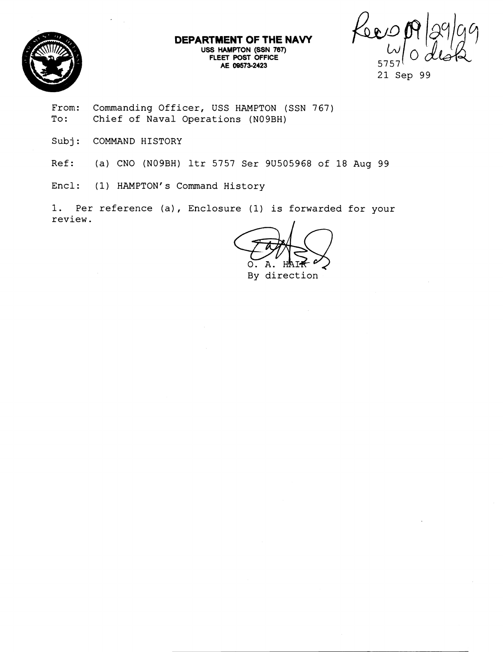

**DEPARTMEWT OF THE NAVY**  USS **HAMPTON (SSN 767)** FLEET POST OFFICE **AE 09573-2423** 

Keev

**From: Commanding Officer, USS HAMPTON (SSN 767) To: Chief of Naval Operations (N09BH)** 

**Subj: COMMAND HISTORY** 

**Ref: (a) CNO (N09BH) ltr 5757 Ser 9U505968 of 18 Aug 99** 

Encl: (1) HAMPTON's Command History

**1. Per reference (a), Enclosure (1) is forwarded for your**  review.

**By direction** 

**<sup>21</sup> Sep 99**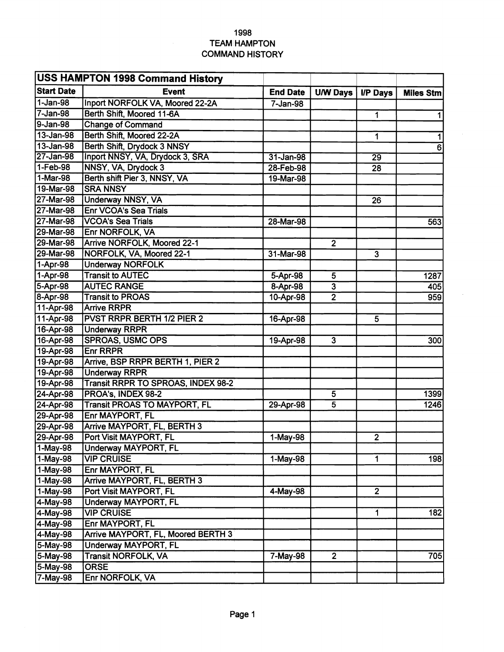## **1998 TEAM HAMPTON COMMAND HISTORY**

| <b>Event</b><br><b>End Date</b><br><b>U/W Days</b><br><b>I/P Days</b><br><b>Miles Stm</b><br>Inport NORFOLK VA, Moored 22-2A<br>7-Jan-98<br>Berth Shift, Moored 11-6A<br>$\overline{1}$<br>$\mathbf{1}$<br><b>Change of Command</b><br>Berth Shift, Moored 22-2A<br>1<br>1<br>Berth Shift, Drydock 3 NNSY<br>$\overline{6}$<br>Inport NNSY, VA, Drydock 3, SRA<br>31-Jan-98<br>$\overline{29}$<br>NNSY, VA, Drydock 3<br>28-Feb-98<br>28<br>Berth shift Pier 3, NNSY, VA<br>19-Mar-98<br><b>SRA NNSY</b><br><b>Underway NNSY, VA</b><br>26<br><b>Enr VCOA's Sea Trials</b><br><b>VCOA's Sea Trials</b><br>28-Mar-98<br>563<br>Enr NORFOLK, VA<br><b>Arrive NORFOLK, Moored 22-1</b><br>$\overline{2}$<br>NORFOLK, VA, Moored 22-1<br>31-Mar-98<br>$\overline{3}$<br><b>Underway NORFOLK</b><br><b>Transit to AUTEC</b><br>1-Apr-98<br>5-Apr-98<br>5<br>1287<br>5-Apr-98<br><b>AUTEC RANGE</b><br>8-Apr-98<br>$\overline{3}$<br>405<br>8-Apr-98<br><b>Transit to PROAS</b><br>10-Apr-98<br>$\overline{2}$<br>959<br>11-Apr-98<br><b>Arrive RRPR</b><br>11-Apr-98<br><b>PVST RRPR BERTH 1/2 PIER 2</b><br>16-Apr-98<br>5<br>16-Apr-98<br><b>Underway RRPR</b><br><b>SPROAS, USMC OPS</b><br>$\overline{3}$<br>16-Apr-98<br>19-Apr-98<br>300<br>19-Apr-98<br><b>Enr RRPR</b><br>19-Apr-98<br>Arrive, BSP RRPR BERTH 1, PIER 2<br>19-Apr-98<br><b>Underway RRPR</b><br>Transit RRPR TO SPROAS, INDEX 98-2<br>19-Apr-98<br>24-Apr-98<br>PROA's, INDEX 98-2<br>1399<br>5<br>24-Apr-98<br><b>Transit PROAS TO MAYPORT, FL</b><br>1246<br>29-Apr-98<br>5<br>29-Apr-98<br>Enr MAYPORT, FL<br>29-Apr-98<br><b>Arrive MAYPORT, FL, BERTH 3</b><br>29-Apr-98<br>Port Visit MAYPORT, FL<br>$\mathbf{2}$<br>1-May-98<br>$1-May-98$<br><b>Underway MAYPORT, FL</b><br>1-May-98<br><b>VIP CRUISE</b><br>$1-May-98$<br>1<br>198<br>1-May-98<br>Enr MAYPORT, FL<br>1-May-98<br>Arrive MAYPORT, FL, BERTH 3<br>$\overline{2}$<br>1-May-98<br>Port Visit MAYPORT, FL<br>4-May-98<br>4-May-98<br>Underway MAYPORT, FL<br>182<br>4-May-98<br><b>VIP CRUISE</b><br>1<br>4-May-98<br>Enr MAYPORT, FL<br>Arrive MAYPORT, FL, Moored BERTH 3<br>4-May-98<br><b>Underway MAYPORT, FL</b><br>5-May-98<br>5-May-98<br><b>Transit NORFOLK, VA</b><br>7-May-98<br>$\overline{2}$<br>705<br>5-May-98<br><b>ORSE</b> | <b>USS HAMPTON 1998 Command History</b> |                 |  |  |  |  |  |
|-------------------------------------------------------------------------------------------------------------------------------------------------------------------------------------------------------------------------------------------------------------------------------------------------------------------------------------------------------------------------------------------------------------------------------------------------------------------------------------------------------------------------------------------------------------------------------------------------------------------------------------------------------------------------------------------------------------------------------------------------------------------------------------------------------------------------------------------------------------------------------------------------------------------------------------------------------------------------------------------------------------------------------------------------------------------------------------------------------------------------------------------------------------------------------------------------------------------------------------------------------------------------------------------------------------------------------------------------------------------------------------------------------------------------------------------------------------------------------------------------------------------------------------------------------------------------------------------------------------------------------------------------------------------------------------------------------------------------------------------------------------------------------------------------------------------------------------------------------------------------------------------------------------------------------------------------------------------------------------------------------------------------------------------------------------------------------------------------------------------------------------------------------------------------------------------------------------------------------------------------------------------------------------|-----------------------------------------|-----------------|--|--|--|--|--|
|                                                                                                                                                                                                                                                                                                                                                                                                                                                                                                                                                                                                                                                                                                                                                                                                                                                                                                                                                                                                                                                                                                                                                                                                                                                                                                                                                                                                                                                                                                                                                                                                                                                                                                                                                                                                                                                                                                                                                                                                                                                                                                                                                                                                                                                                                     | <b>Start Date</b>                       |                 |  |  |  |  |  |
|                                                                                                                                                                                                                                                                                                                                                                                                                                                                                                                                                                                                                                                                                                                                                                                                                                                                                                                                                                                                                                                                                                                                                                                                                                                                                                                                                                                                                                                                                                                                                                                                                                                                                                                                                                                                                                                                                                                                                                                                                                                                                                                                                                                                                                                                                     | $1-Jan-98$                              |                 |  |  |  |  |  |
|                                                                                                                                                                                                                                                                                                                                                                                                                                                                                                                                                                                                                                                                                                                                                                                                                                                                                                                                                                                                                                                                                                                                                                                                                                                                                                                                                                                                                                                                                                                                                                                                                                                                                                                                                                                                                                                                                                                                                                                                                                                                                                                                                                                                                                                                                     | 7-Jan-98                                |                 |  |  |  |  |  |
|                                                                                                                                                                                                                                                                                                                                                                                                                                                                                                                                                                                                                                                                                                                                                                                                                                                                                                                                                                                                                                                                                                                                                                                                                                                                                                                                                                                                                                                                                                                                                                                                                                                                                                                                                                                                                                                                                                                                                                                                                                                                                                                                                                                                                                                                                     | 9-Jan-98                                |                 |  |  |  |  |  |
|                                                                                                                                                                                                                                                                                                                                                                                                                                                                                                                                                                                                                                                                                                                                                                                                                                                                                                                                                                                                                                                                                                                                                                                                                                                                                                                                                                                                                                                                                                                                                                                                                                                                                                                                                                                                                                                                                                                                                                                                                                                                                                                                                                                                                                                                                     | 13-Jan-98                               |                 |  |  |  |  |  |
|                                                                                                                                                                                                                                                                                                                                                                                                                                                                                                                                                                                                                                                                                                                                                                                                                                                                                                                                                                                                                                                                                                                                                                                                                                                                                                                                                                                                                                                                                                                                                                                                                                                                                                                                                                                                                                                                                                                                                                                                                                                                                                                                                                                                                                                                                     | 13-Jan-98                               |                 |  |  |  |  |  |
|                                                                                                                                                                                                                                                                                                                                                                                                                                                                                                                                                                                                                                                                                                                                                                                                                                                                                                                                                                                                                                                                                                                                                                                                                                                                                                                                                                                                                                                                                                                                                                                                                                                                                                                                                                                                                                                                                                                                                                                                                                                                                                                                                                                                                                                                                     | 27-Jan-98                               |                 |  |  |  |  |  |
|                                                                                                                                                                                                                                                                                                                                                                                                                                                                                                                                                                                                                                                                                                                                                                                                                                                                                                                                                                                                                                                                                                                                                                                                                                                                                                                                                                                                                                                                                                                                                                                                                                                                                                                                                                                                                                                                                                                                                                                                                                                                                                                                                                                                                                                                                     | 1-Feb-98                                |                 |  |  |  |  |  |
|                                                                                                                                                                                                                                                                                                                                                                                                                                                                                                                                                                                                                                                                                                                                                                                                                                                                                                                                                                                                                                                                                                                                                                                                                                                                                                                                                                                                                                                                                                                                                                                                                                                                                                                                                                                                                                                                                                                                                                                                                                                                                                                                                                                                                                                                                     | 1-Mar-98                                |                 |  |  |  |  |  |
|                                                                                                                                                                                                                                                                                                                                                                                                                                                                                                                                                                                                                                                                                                                                                                                                                                                                                                                                                                                                                                                                                                                                                                                                                                                                                                                                                                                                                                                                                                                                                                                                                                                                                                                                                                                                                                                                                                                                                                                                                                                                                                                                                                                                                                                                                     | 19-Mar-98                               |                 |  |  |  |  |  |
|                                                                                                                                                                                                                                                                                                                                                                                                                                                                                                                                                                                                                                                                                                                                                                                                                                                                                                                                                                                                                                                                                                                                                                                                                                                                                                                                                                                                                                                                                                                                                                                                                                                                                                                                                                                                                                                                                                                                                                                                                                                                                                                                                                                                                                                                                     | 27-Mar-98                               |                 |  |  |  |  |  |
|                                                                                                                                                                                                                                                                                                                                                                                                                                                                                                                                                                                                                                                                                                                                                                                                                                                                                                                                                                                                                                                                                                                                                                                                                                                                                                                                                                                                                                                                                                                                                                                                                                                                                                                                                                                                                                                                                                                                                                                                                                                                                                                                                                                                                                                                                     | 27-Mar-98                               |                 |  |  |  |  |  |
|                                                                                                                                                                                                                                                                                                                                                                                                                                                                                                                                                                                                                                                                                                                                                                                                                                                                                                                                                                                                                                                                                                                                                                                                                                                                                                                                                                                                                                                                                                                                                                                                                                                                                                                                                                                                                                                                                                                                                                                                                                                                                                                                                                                                                                                                                     | 27-Mar-98                               |                 |  |  |  |  |  |
|                                                                                                                                                                                                                                                                                                                                                                                                                                                                                                                                                                                                                                                                                                                                                                                                                                                                                                                                                                                                                                                                                                                                                                                                                                                                                                                                                                                                                                                                                                                                                                                                                                                                                                                                                                                                                                                                                                                                                                                                                                                                                                                                                                                                                                                                                     | 29-Mar-98                               |                 |  |  |  |  |  |
|                                                                                                                                                                                                                                                                                                                                                                                                                                                                                                                                                                                                                                                                                                                                                                                                                                                                                                                                                                                                                                                                                                                                                                                                                                                                                                                                                                                                                                                                                                                                                                                                                                                                                                                                                                                                                                                                                                                                                                                                                                                                                                                                                                                                                                                                                     | 29-Mar-98                               |                 |  |  |  |  |  |
|                                                                                                                                                                                                                                                                                                                                                                                                                                                                                                                                                                                                                                                                                                                                                                                                                                                                                                                                                                                                                                                                                                                                                                                                                                                                                                                                                                                                                                                                                                                                                                                                                                                                                                                                                                                                                                                                                                                                                                                                                                                                                                                                                                                                                                                                                     | 29-Mar-98                               |                 |  |  |  |  |  |
|                                                                                                                                                                                                                                                                                                                                                                                                                                                                                                                                                                                                                                                                                                                                                                                                                                                                                                                                                                                                                                                                                                                                                                                                                                                                                                                                                                                                                                                                                                                                                                                                                                                                                                                                                                                                                                                                                                                                                                                                                                                                                                                                                                                                                                                                                     | 1-Apr-98                                |                 |  |  |  |  |  |
|                                                                                                                                                                                                                                                                                                                                                                                                                                                                                                                                                                                                                                                                                                                                                                                                                                                                                                                                                                                                                                                                                                                                                                                                                                                                                                                                                                                                                                                                                                                                                                                                                                                                                                                                                                                                                                                                                                                                                                                                                                                                                                                                                                                                                                                                                     |                                         |                 |  |  |  |  |  |
|                                                                                                                                                                                                                                                                                                                                                                                                                                                                                                                                                                                                                                                                                                                                                                                                                                                                                                                                                                                                                                                                                                                                                                                                                                                                                                                                                                                                                                                                                                                                                                                                                                                                                                                                                                                                                                                                                                                                                                                                                                                                                                                                                                                                                                                                                     |                                         |                 |  |  |  |  |  |
|                                                                                                                                                                                                                                                                                                                                                                                                                                                                                                                                                                                                                                                                                                                                                                                                                                                                                                                                                                                                                                                                                                                                                                                                                                                                                                                                                                                                                                                                                                                                                                                                                                                                                                                                                                                                                                                                                                                                                                                                                                                                                                                                                                                                                                                                                     |                                         |                 |  |  |  |  |  |
|                                                                                                                                                                                                                                                                                                                                                                                                                                                                                                                                                                                                                                                                                                                                                                                                                                                                                                                                                                                                                                                                                                                                                                                                                                                                                                                                                                                                                                                                                                                                                                                                                                                                                                                                                                                                                                                                                                                                                                                                                                                                                                                                                                                                                                                                                     |                                         |                 |  |  |  |  |  |
|                                                                                                                                                                                                                                                                                                                                                                                                                                                                                                                                                                                                                                                                                                                                                                                                                                                                                                                                                                                                                                                                                                                                                                                                                                                                                                                                                                                                                                                                                                                                                                                                                                                                                                                                                                                                                                                                                                                                                                                                                                                                                                                                                                                                                                                                                     |                                         |                 |  |  |  |  |  |
|                                                                                                                                                                                                                                                                                                                                                                                                                                                                                                                                                                                                                                                                                                                                                                                                                                                                                                                                                                                                                                                                                                                                                                                                                                                                                                                                                                                                                                                                                                                                                                                                                                                                                                                                                                                                                                                                                                                                                                                                                                                                                                                                                                                                                                                                                     |                                         |                 |  |  |  |  |  |
|                                                                                                                                                                                                                                                                                                                                                                                                                                                                                                                                                                                                                                                                                                                                                                                                                                                                                                                                                                                                                                                                                                                                                                                                                                                                                                                                                                                                                                                                                                                                                                                                                                                                                                                                                                                                                                                                                                                                                                                                                                                                                                                                                                                                                                                                                     |                                         |                 |  |  |  |  |  |
|                                                                                                                                                                                                                                                                                                                                                                                                                                                                                                                                                                                                                                                                                                                                                                                                                                                                                                                                                                                                                                                                                                                                                                                                                                                                                                                                                                                                                                                                                                                                                                                                                                                                                                                                                                                                                                                                                                                                                                                                                                                                                                                                                                                                                                                                                     |                                         |                 |  |  |  |  |  |
|                                                                                                                                                                                                                                                                                                                                                                                                                                                                                                                                                                                                                                                                                                                                                                                                                                                                                                                                                                                                                                                                                                                                                                                                                                                                                                                                                                                                                                                                                                                                                                                                                                                                                                                                                                                                                                                                                                                                                                                                                                                                                                                                                                                                                                                                                     |                                         |                 |  |  |  |  |  |
|                                                                                                                                                                                                                                                                                                                                                                                                                                                                                                                                                                                                                                                                                                                                                                                                                                                                                                                                                                                                                                                                                                                                                                                                                                                                                                                                                                                                                                                                                                                                                                                                                                                                                                                                                                                                                                                                                                                                                                                                                                                                                                                                                                                                                                                                                     |                                         |                 |  |  |  |  |  |
|                                                                                                                                                                                                                                                                                                                                                                                                                                                                                                                                                                                                                                                                                                                                                                                                                                                                                                                                                                                                                                                                                                                                                                                                                                                                                                                                                                                                                                                                                                                                                                                                                                                                                                                                                                                                                                                                                                                                                                                                                                                                                                                                                                                                                                                                                     |                                         |                 |  |  |  |  |  |
|                                                                                                                                                                                                                                                                                                                                                                                                                                                                                                                                                                                                                                                                                                                                                                                                                                                                                                                                                                                                                                                                                                                                                                                                                                                                                                                                                                                                                                                                                                                                                                                                                                                                                                                                                                                                                                                                                                                                                                                                                                                                                                                                                                                                                                                                                     |                                         |                 |  |  |  |  |  |
|                                                                                                                                                                                                                                                                                                                                                                                                                                                                                                                                                                                                                                                                                                                                                                                                                                                                                                                                                                                                                                                                                                                                                                                                                                                                                                                                                                                                                                                                                                                                                                                                                                                                                                                                                                                                                                                                                                                                                                                                                                                                                                                                                                                                                                                                                     |                                         |                 |  |  |  |  |  |
|                                                                                                                                                                                                                                                                                                                                                                                                                                                                                                                                                                                                                                                                                                                                                                                                                                                                                                                                                                                                                                                                                                                                                                                                                                                                                                                                                                                                                                                                                                                                                                                                                                                                                                                                                                                                                                                                                                                                                                                                                                                                                                                                                                                                                                                                                     |                                         |                 |  |  |  |  |  |
|                                                                                                                                                                                                                                                                                                                                                                                                                                                                                                                                                                                                                                                                                                                                                                                                                                                                                                                                                                                                                                                                                                                                                                                                                                                                                                                                                                                                                                                                                                                                                                                                                                                                                                                                                                                                                                                                                                                                                                                                                                                                                                                                                                                                                                                                                     |                                         |                 |  |  |  |  |  |
|                                                                                                                                                                                                                                                                                                                                                                                                                                                                                                                                                                                                                                                                                                                                                                                                                                                                                                                                                                                                                                                                                                                                                                                                                                                                                                                                                                                                                                                                                                                                                                                                                                                                                                                                                                                                                                                                                                                                                                                                                                                                                                                                                                                                                                                                                     |                                         |                 |  |  |  |  |  |
|                                                                                                                                                                                                                                                                                                                                                                                                                                                                                                                                                                                                                                                                                                                                                                                                                                                                                                                                                                                                                                                                                                                                                                                                                                                                                                                                                                                                                                                                                                                                                                                                                                                                                                                                                                                                                                                                                                                                                                                                                                                                                                                                                                                                                                                                                     |                                         |                 |  |  |  |  |  |
|                                                                                                                                                                                                                                                                                                                                                                                                                                                                                                                                                                                                                                                                                                                                                                                                                                                                                                                                                                                                                                                                                                                                                                                                                                                                                                                                                                                                                                                                                                                                                                                                                                                                                                                                                                                                                                                                                                                                                                                                                                                                                                                                                                                                                                                                                     |                                         |                 |  |  |  |  |  |
|                                                                                                                                                                                                                                                                                                                                                                                                                                                                                                                                                                                                                                                                                                                                                                                                                                                                                                                                                                                                                                                                                                                                                                                                                                                                                                                                                                                                                                                                                                                                                                                                                                                                                                                                                                                                                                                                                                                                                                                                                                                                                                                                                                                                                                                                                     |                                         |                 |  |  |  |  |  |
|                                                                                                                                                                                                                                                                                                                                                                                                                                                                                                                                                                                                                                                                                                                                                                                                                                                                                                                                                                                                                                                                                                                                                                                                                                                                                                                                                                                                                                                                                                                                                                                                                                                                                                                                                                                                                                                                                                                                                                                                                                                                                                                                                                                                                                                                                     |                                         |                 |  |  |  |  |  |
|                                                                                                                                                                                                                                                                                                                                                                                                                                                                                                                                                                                                                                                                                                                                                                                                                                                                                                                                                                                                                                                                                                                                                                                                                                                                                                                                                                                                                                                                                                                                                                                                                                                                                                                                                                                                                                                                                                                                                                                                                                                                                                                                                                                                                                                                                     |                                         |                 |  |  |  |  |  |
|                                                                                                                                                                                                                                                                                                                                                                                                                                                                                                                                                                                                                                                                                                                                                                                                                                                                                                                                                                                                                                                                                                                                                                                                                                                                                                                                                                                                                                                                                                                                                                                                                                                                                                                                                                                                                                                                                                                                                                                                                                                                                                                                                                                                                                                                                     |                                         |                 |  |  |  |  |  |
|                                                                                                                                                                                                                                                                                                                                                                                                                                                                                                                                                                                                                                                                                                                                                                                                                                                                                                                                                                                                                                                                                                                                                                                                                                                                                                                                                                                                                                                                                                                                                                                                                                                                                                                                                                                                                                                                                                                                                                                                                                                                                                                                                                                                                                                                                     |                                         |                 |  |  |  |  |  |
|                                                                                                                                                                                                                                                                                                                                                                                                                                                                                                                                                                                                                                                                                                                                                                                                                                                                                                                                                                                                                                                                                                                                                                                                                                                                                                                                                                                                                                                                                                                                                                                                                                                                                                                                                                                                                                                                                                                                                                                                                                                                                                                                                                                                                                                                                     |                                         |                 |  |  |  |  |  |
|                                                                                                                                                                                                                                                                                                                                                                                                                                                                                                                                                                                                                                                                                                                                                                                                                                                                                                                                                                                                                                                                                                                                                                                                                                                                                                                                                                                                                                                                                                                                                                                                                                                                                                                                                                                                                                                                                                                                                                                                                                                                                                                                                                                                                                                                                     |                                         |                 |  |  |  |  |  |
|                                                                                                                                                                                                                                                                                                                                                                                                                                                                                                                                                                                                                                                                                                                                                                                                                                                                                                                                                                                                                                                                                                                                                                                                                                                                                                                                                                                                                                                                                                                                                                                                                                                                                                                                                                                                                                                                                                                                                                                                                                                                                                                                                                                                                                                                                     |                                         |                 |  |  |  |  |  |
|                                                                                                                                                                                                                                                                                                                                                                                                                                                                                                                                                                                                                                                                                                                                                                                                                                                                                                                                                                                                                                                                                                                                                                                                                                                                                                                                                                                                                                                                                                                                                                                                                                                                                                                                                                                                                                                                                                                                                                                                                                                                                                                                                                                                                                                                                     |                                         |                 |  |  |  |  |  |
|                                                                                                                                                                                                                                                                                                                                                                                                                                                                                                                                                                                                                                                                                                                                                                                                                                                                                                                                                                                                                                                                                                                                                                                                                                                                                                                                                                                                                                                                                                                                                                                                                                                                                                                                                                                                                                                                                                                                                                                                                                                                                                                                                                                                                                                                                     |                                         |                 |  |  |  |  |  |
|                                                                                                                                                                                                                                                                                                                                                                                                                                                                                                                                                                                                                                                                                                                                                                                                                                                                                                                                                                                                                                                                                                                                                                                                                                                                                                                                                                                                                                                                                                                                                                                                                                                                                                                                                                                                                                                                                                                                                                                                                                                                                                                                                                                                                                                                                     | 7-May-98                                | Enr NORFOLK, VA |  |  |  |  |  |

 $\sim$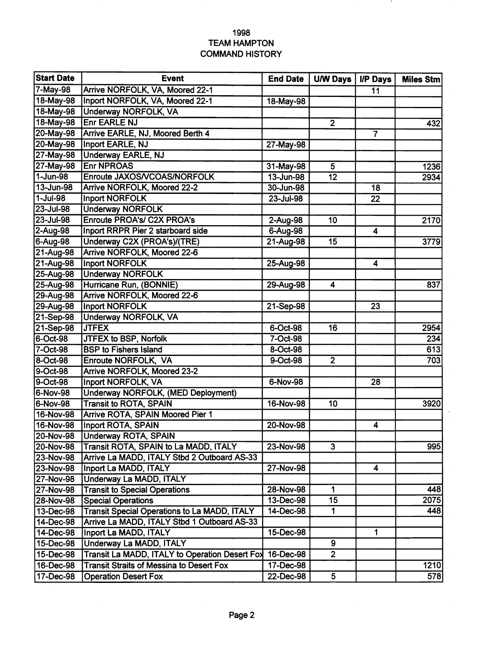## **1998 TEAM HAMPTON COMMAND HISTORY**

 $\overline{\phantom{a}}$ 

 $\mathcal{L}_{\mathcal{A}}$ 

|                  | <b>Event</b>                                        | <b>End Date</b> | <b>U/W Days</b> | <b>I/P Days</b>  | <b>Miles Stm</b> |
|------------------|-----------------------------------------------------|-----------------|-----------------|------------------|------------------|
| 7-May-98         | Arrive NORFOLK, VA, Moored 22-1                     |                 |                 | 11               |                  |
| 18-May-98        | Inport NORFOLK, VA, Moored 22-1                     | 18-May-98       |                 |                  |                  |
| 18-May-98        | <b>Underway NORFOLK, VA</b>                         |                 |                 |                  |                  |
| 18-May-98        | <b>Enr EARLE NJ</b>                                 |                 | $2^{\circ}$     |                  | 432              |
| 20-May-98        | Arrive EARLE, NJ, Moored Berth 4                    |                 |                 | $\overline{7}$   |                  |
| 20-May-98        | Inport EARLE, NJ                                    | 27-May-98       |                 |                  |                  |
| 27-May-98        | <b>Underway EARLE, NJ</b>                           |                 |                 |                  |                  |
| 27-May-98        | <b>Enr NPROAS</b>                                   | 31-May-98       | 5               |                  | 1236             |
| $1 - Jun-98$     | Enroute JAXOS/VCOAS/NORFOLK                         | 13-Jun-98       | 12              |                  | 2934             |
| 13-Jun-98        | <b>Arrive NORFOLK, Moored 22-2</b>                  | 30-Jun-98       |                 | 18               |                  |
| 1-Jul-98         | <b>Inport NORFOLK</b>                               | 23-Jul-98       |                 | 22               |                  |
| 23-Jul-98        | <b>Underway NORFOLK</b>                             |                 |                 |                  |                  |
| 23-Jul-98        | <b>Enroute PROA's/ C2X PROA's</b>                   | 2-Aug-98        | 10              |                  | 2170             |
| 2-Aug-98         | Inport RRPR Pier 2 starboard side                   | 6-Aug-98        |                 | 4                |                  |
| 6-Aug-98         | Underway C2X (PROA's)/(TRE)                         | 21-Aug-98       | 15              |                  | 3779             |
| 21-Aug-98        | <b>Arrive NORFOLK, Moored 22-6</b>                  |                 |                 |                  |                  |
| 21-Aug-98        | <b>Inport NORFOLK</b>                               | 25-Aug-98       |                 | 4                |                  |
| 25-Aug-98        | <b>Underway NORFOLK</b>                             |                 |                 |                  |                  |
| 25-Aug-98        | Hurricane Run, (BONNIE)                             | 29-Aug-98       | 4               |                  | 837              |
| 29-Aug-98        | <b>Arrive NORFOLK, Moored 22-6</b>                  |                 |                 |                  |                  |
| 29-Aug-98        | <b>Inport NORFOLK</b>                               | 21-Sep-98       |                 | 23               |                  |
| 21-Sep-98        | <b>Underway NORFOLK, VA</b>                         |                 |                 |                  |                  |
| 21-Sep-98        | <b>JTFEX</b>                                        | 6-Oct-98        | 16              |                  | 2954             |
| 6-Oct-98         | JTFEX to BSP, Norfolk                               | 7-Oct-98        |                 |                  | 234              |
| 7-Oct-98         | <b>BSP to Fishers Island</b>                        | 8-Oct-98        |                 |                  | 613              |
| 8-Oct-98         | <b>Enroute NORFOLK, VA</b>                          | 9-Oct-98        | $\overline{2}$  |                  | 703              |
| 9-Oct-98         | <b>Arrive NORFOLK, Moored 23-2</b>                  |                 |                 |                  |                  |
| 9-Oct-98         | <b>Inport NORFOLK, VA</b>                           | 6-Nov-98        |                 | 28               |                  |
| 6-Nov-98         | Underway NORFOLK, (MED Deployment)                  |                 |                 |                  |                  |
| 6-Nov-98         | <b>Transit to ROTA, SPAIN</b>                       | 16-Nov-98       | 10              |                  | 3920             |
| 16-Nov-98        | <b>Arrive ROTA, SPAIN Moored Pier 1</b>             |                 |                 |                  |                  |
| 16-Nov-98        | <b>Inport ROTA, SPAIN</b>                           | 20-Nov-98       |                 | 4                |                  |
| 20-Nov-98        | <b>Underway ROTA, SPAIN</b>                         |                 |                 |                  |                  |
| 20-Nov-98        | Transit ROTA, SPAIN to La MADD, ITALY               | 23-Nov-98       | 3               |                  | 995              |
| 23-Nov-98        | Arrive La MADD, ITALY Stbd 2 Outboard AS-33         |                 |                 |                  |                  |
| 23-Nov-98        | Inport La MADD, ITALY                               | 27-Nov-98       |                 | $\boldsymbol{4}$ |                  |
| 27-Nov-98        | Underway La MADD, ITALY                             |                 |                 |                  |                  |
| <b>27-Nov-98</b> | <b>Transit to Special Operations</b>                | 28-Nov-98       | 1               |                  | 448              |
| 28-Nov-98        | <b>Special Operations</b>                           | 13-Dec-98       | $\overline{15}$ |                  | 2075             |
| 13-Dec-98        | <b>Transit Special Operations to La MADD, ITALY</b> | 14-Dec-98       | $\mathbf{1}$    |                  | 448              |
| 14-Dec-98        | Arrive La MADD, ITALY Stbd 1 Outboard AS-33         |                 |                 |                  |                  |
| 14-Dec-98        | Inport La MADD, ITALY                               | 15-Dec-98       |                 | 1                |                  |
| 15-Dec-98        | Underway La MADD, ITALY                             |                 | 9               |                  |                  |
| 15-Dec-98        | Transit La MADD, ITALY to Operation Desert Fox      | 16-Dec-98       | $\overline{2}$  |                  |                  |
| 16-Dec-98        | <b>Transit Straits of Messina to Desert Fox</b>     | 17-Dec-98       |                 |                  | 1210             |
| 17-Dec-98        | <b>Operation Desert Fox</b>                         | 22-Dec-98       | $5\phantom{.0}$ |                  | 578              |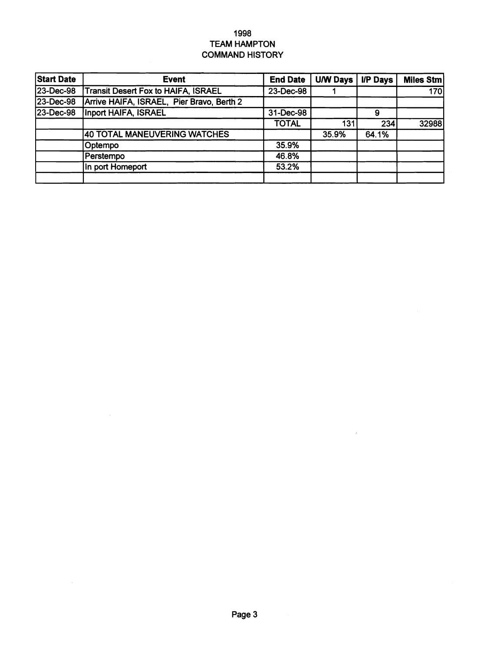## **1998 TEAM HAMPTON COMMAND HISTORY**

| <b>Start Date</b> | <b>Event</b>                               | <b>End Date</b> | <b>U/W Days</b> | <b>I/P Days</b> | <b>Miles Stm</b> |
|-------------------|--------------------------------------------|-----------------|-----------------|-----------------|------------------|
| 23-Dec-98         | <b>Transit Desert Fox to HAIFA, ISRAEL</b> | 23-Dec-98       |                 |                 | 170              |
| 23-Dec-98         | Arrive HAIFA, ISRAEL, Pier Bravo, Berth 2  |                 |                 |                 |                  |
| 23-Dec-98         | Inport HAIFA, ISRAEL                       | 31-Dec-98       |                 | 9               |                  |
|                   |                                            | <b>TOTAL</b>    | 131             | 234             | 32988            |
|                   | <b>40 TOTAL MANEUVERING WATCHES</b>        |                 | 35.9%           | 64.1%           |                  |
|                   | Optempo                                    | 35.9%           |                 |                 |                  |
|                   | Perstempo                                  | 46.8%           |                 |                 |                  |
|                   | In port Homeport                           | 53.2%           |                 |                 |                  |
|                   |                                            |                 |                 |                 |                  |

 $\sim$   $\kappa$ 

 $\sim$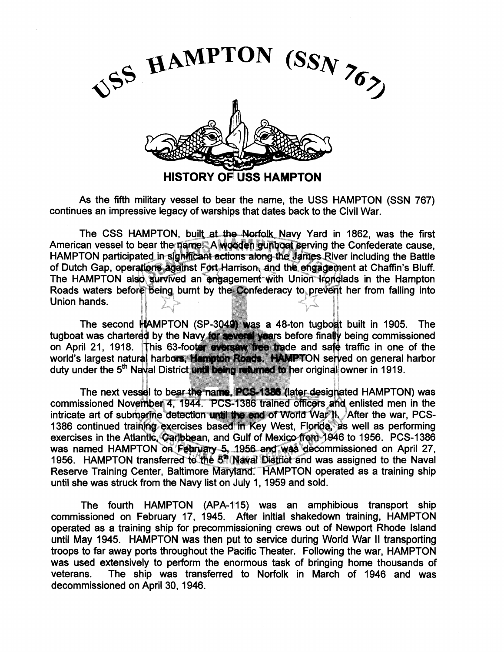

As the fifth military vessel to bear the name, the USS HAMPTON (SSN 767) continues an impressive legacy of warships that dates back to the Civil War.

The CSS HAMPTON, built at the Norfolk Navy Yard in 1862, was the first American vessel to bear the name. A wooden gunboat serving the Confederate cause, HAMPTON participated in sighificant actions along the James River including the Battle of Dutch Gap, operations against Fort Harrison, and the engagement at Chaffin's Bluff. The HAMPTON also survived an engagement with Union Konglads in the Hampton Roads waters before being burnt by the Confederacy to prevent her from falling into Union hands.

The second  $H$ AMPTON (SP-3049) was a 48-ton tugbout built in 1905. The tugboat was chartered by the Navy for several years before finally being commissioned<br>on April 21, 1918. This 63-footer oversaw free trade and safe traffic in one of the world's largest natural harbors. Hampton Roads. HAMPTON served on general harbor duty under the 5<sup>th</sup> Naval District until being returned to her original owner in 1919.

The next vessel to bear the name, PCS-1386 (later designated HAMPTON) was commissioned November 4, 1944. PCS-1386 trained officers and enlisted men in the intricate art of submarine detection until the end of World War II. After the war. PCS-1386 continued training exercises based in Key West, Florida, as well as performing exercises in the Atlantic, Caribbean, and Gulf of Mexico from 1946 to 1956. PCS-1386 was named HAMPTON on Fearuary 5, 1956 and was decommissioned on April 27, 1956. HAMPTON transferred to the 5<sup>th</sup> Naval District and was assigned to the Naval Reserve Training Center, Baltimore Maryland. HAMPTON operated as a training ship until she was struck from the Navy list on July 1, 1959 and sold.

The fourth HAMPTON (APA-115) was an amphibious transport ship commissioned on February 17, 1945. After initial shakedown training, HAMPTON operated as a training ship for precommissioning crews out of Newport Rhode Island until May 1945. HAMPTON was then put to service during World War II transporting troops to far away ports throughout the Pacific Theater. Following the war, HAMPTON was used extensively to perform the enormous task of bringing home thousands of veterans. The ship was transferred to Norfolk in March of I946 and was decommissioned on April 30, 1946.